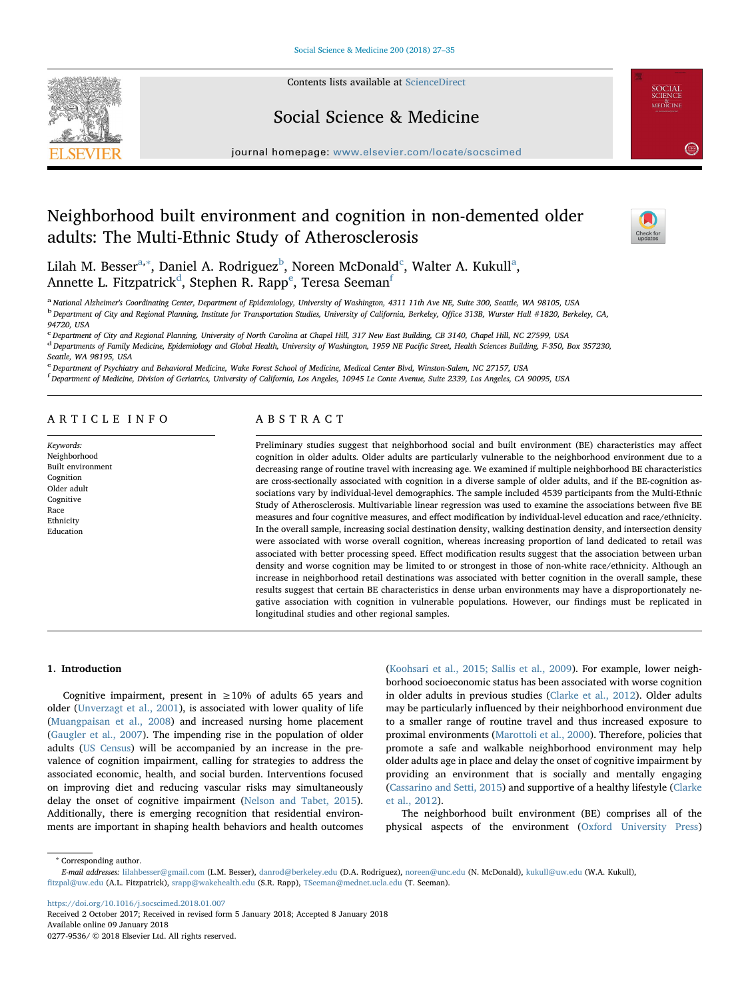

Contents lists available at [ScienceDirect](http://www.sciencedirect.com/science/journal/02779536)

# Social Science & Medicine

journal homepage: [www.elsevier.com/locate/socscimed](https://www.elsevier.com/locate/socscimed)

# Neighborhood built environment and cognition in non-demented older adults: The Multi-Ethnic Study of Atherosclerosis



**SOCIAL**<br>SCIENCE<br>MEDICINE

 $\left( \frac{2.814}{2.814} \right)$ 

Lil[a](#page-0-0)h M. Besser $\mathrm{a},\mathrm{*},$  Daniel A. Rodriguez $\mathrm{^{b},}$  $\mathrm{^{b},}$  $\mathrm{^{b},}$  Noreen M[c](#page-0-3)Donald $\mathrm{^{c},}$  Walter A. Kukull $\mathrm{^{a},}$ Annette L. Fitzpatrick<sup>[d](#page-0-4)</sup>, St[e](#page-0-5)phen R. Rapp<sup>e</sup>, Teresa Seeman<sup>[f](#page-0-6)</sup>

<span id="page-0-2"></span><span id="page-0-0"></span>a National Alzheimer's Coordinating Center, Department of Epidemiology, University of Washington, 4311 11th Ave NE, Suite 300, Seattle, WA 98105, USA <sup>b</sup> Department of City and Regional Planning, Institute for Transportation Studies, University of California, Berkeley, Office 313B, Wurster Hall #1820, Berkeley, CA, 94720, USA

<span id="page-0-3"></span>c Department of City and Regional Planning, University of North Carolina at Chapel Hill, 317 New East Building, CB 3140, Chapel Hill, NC 27599, USA

<span id="page-0-4"></span><sup>d</sup> Departments of Family Medicine, Epidemiology and Global Health, University of Washington, 1959 NE Pacific Street, Health Sciences Building, F-350, Box 357230, Seattle, WA 98195, USA

<span id="page-0-5"></span>e Department of Psychiatry and Behavioral Medicine, Wake Forest School of Medicine, Medical Center Blvd, Winston-Salem, NC 27157, USA

<span id="page-0-6"></span>f Department of Medicine, Division of Geriatrics, University of California, Los Angeles, 10945 Le Conte Avenue, Suite 2339, Los Angeles, CA 90095, USA

# ARTICLE INFO

Keywords: Neighborhood Built environment Cognition Older adult Cognitive Race Ethnicity Education

# ABSTRACT

Preliminary studies suggest that neighborhood social and built environment (BE) characteristics may affect cognition in older adults. Older adults are particularly vulnerable to the neighborhood environment due to a decreasing range of routine travel with increasing age. We examined if multiple neighborhood BE characteristics are cross-sectionally associated with cognition in a diverse sample of older adults, and if the BE-cognition associations vary by individual-level demographics. The sample included 4539 participants from the Multi-Ethnic Study of Atherosclerosis. Multivariable linear regression was used to examine the associations between five BE measures and four cognitive measures, and effect modification by individual-level education and race/ethnicity. In the overall sample, increasing social destination density, walking destination density, and intersection density were associated with worse overall cognition, whereas increasing proportion of land dedicated to retail was associated with better processing speed. Effect modification results suggest that the association between urban density and worse cognition may be limited to or strongest in those of non-white race/ethnicity. Although an increase in neighborhood retail destinations was associated with better cognition in the overall sample, these results suggest that certain BE characteristics in dense urban environments may have a disproportionately negative association with cognition in vulnerable populations. However, our findings must be replicated in longitudinal studies and other regional samples.

## 1. Introduction

Cognitive impairment, present in  $\geq 10\%$  of adults 65 years and older ([Unverzagt et al., 2001](#page-7-0)), is associated with lower quality of life ([Muangpaisan et al., 2008\)](#page-7-1) and increased nursing home placement ([Gaugler et al., 2007](#page-7-2)). The impending rise in the population of older adults ([US Census\)](#page-7-3) will be accompanied by an increase in the prevalence of cognition impairment, calling for strategies to address the associated economic, health, and social burden. Interventions focused on improving diet and reducing vascular risks may simultaneously delay the onset of cognitive impairment [\(Nelson and Tabet, 2015](#page-7-4)). Additionally, there is emerging recognition that residential environments are important in shaping health behaviors and health outcomes

([Koohsari et al., 2015; Sallis et al., 2009](#page-7-5)). For example, lower neighborhood socioeconomic status has been associated with worse cognition in older adults in previous studies [\(Clarke et al., 2012\)](#page-7-6). Older adults may be particularly influenced by their neighborhood environment due to a smaller range of routine travel and thus increased exposure to proximal environments ([Marottoli et al., 2000\)](#page-7-7). Therefore, policies that promote a safe and walkable neighborhood environment may help older adults age in place and delay the onset of cognitive impairment by providing an environment that is socially and mentally engaging ([Cassarino and Setti, 2015\)](#page-7-8) and supportive of a healthy lifestyle ([Clarke](#page-7-6) [et al., 2012](#page-7-6)).

The neighborhood built environment (BE) comprises all of the physical aspects of the environment ([Oxford University Press\)](#page-7-9)

<span id="page-0-1"></span><sup>∗</sup> Corresponding author.

<https://doi.org/10.1016/j.socscimed.2018.01.007> Received 2 October 2017; Received in revised form 5 January 2018; Accepted 8 January 2018

Available online 09 January 2018 0277-9536/ © 2018 Elsevier Ltd. All rights reserved.

E-mail addresses: [lilahbesser@gmail.com](mailto:lilahbesser@gmail.com) (L.M. Besser), [danrod@berkeley.edu](mailto:danrod@berkeley.edu) (D.A. Rodriguez), [noreen@unc.edu](mailto:noreen@unc.edu) (N. McDonald), [kukull@uw.edu](mailto:kukull@uw.edu) (W.A. Kukull), fi[tzpal@uw.edu](mailto:fitzpal@uw.edu) (A.L. Fitzpatrick), [srapp@wakehealth.edu](mailto:srapp@wakehealth.edu) (S.R. Rapp), [TSeeman@mednet.ucla.edu](mailto:TSeeman@mednet.ucla.edu) (T. Seeman).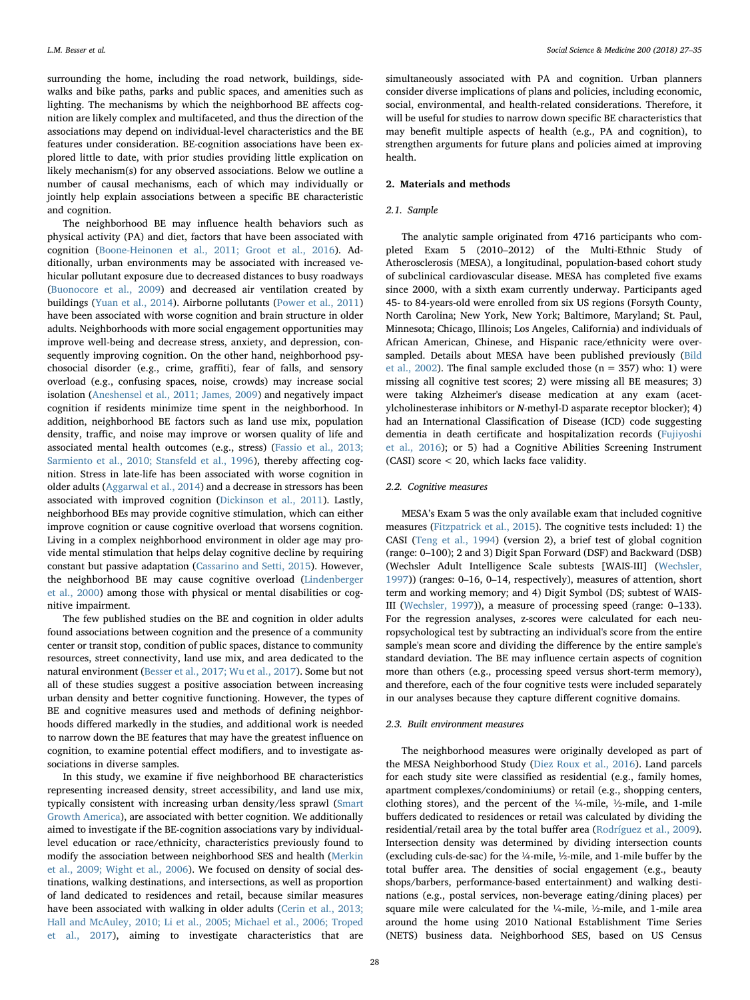surrounding the home, including the road network, buildings, sidewalks and bike paths, parks and public spaces, and amenities such as lighting. The mechanisms by which the neighborhood BE affects cognition are likely complex and multifaceted, and thus the direction of the associations may depend on individual-level characteristics and the BE features under consideration. BE-cognition associations have been explored little to date, with prior studies providing little explication on likely mechanism(s) for any observed associations. Below we outline a number of causal mechanisms, each of which may individually or jointly help explain associations between a specific BE characteristic and cognition.

The neighborhood BE may influence health behaviors such as physical activity (PA) and diet, factors that have been associated with cognition ([Boone-Heinonen et al., 2011; Groot et al., 2016\)](#page-7-10). Additionally, urban environments may be associated with increased vehicular pollutant exposure due to decreased distances to busy roadways ([Buonocore et al., 2009\)](#page-7-11) and decreased air ventilation created by buildings ([Yuan et al., 2014](#page-8-0)). Airborne pollutants [\(Power et al., 2011\)](#page-7-12) have been associated with worse cognition and brain structure in older adults. Neighborhoods with more social engagement opportunities may improve well-being and decrease stress, anxiety, and depression, consequently improving cognition. On the other hand, neighborhood psychosocial disorder (e.g., crime, graffiti), fear of falls, and sensory overload (e.g., confusing spaces, noise, crowds) may increase social isolation [\(Aneshensel et al., 2011; James, 2009\)](#page-7-13) and negatively impact cognition if residents minimize time spent in the neighborhood. In addition, neighborhood BE factors such as land use mix, population density, traffic, and noise may improve or worsen quality of life and associated mental health outcomes (e.g., stress) ([Fassio et al., 2013;](#page-7-14) [Sarmiento et al., 2010; Stansfeld et al., 1996](#page-7-14)), thereby affecting cognition. Stress in late-life has been associated with worse cognition in older adults [\(Aggarwal et al., 2014](#page-7-15)) and a decrease in stressors has been associated with improved cognition ([Dickinson et al., 2011\)](#page-7-16). Lastly, neighborhood BEs may provide cognitive stimulation, which can either improve cognition or cause cognitive overload that worsens cognition. Living in a complex neighborhood environment in older age may provide mental stimulation that helps delay cognitive decline by requiring constant but passive adaptation ([Cassarino and Setti, 2015\)](#page-7-8). However, the neighborhood BE may cause cognitive overload ([Lindenberger](#page-7-17) [et al., 2000](#page-7-17)) among those with physical or mental disabilities or cognitive impairment.

The few published studies on the BE and cognition in older adults found associations between cognition and the presence of a community center or transit stop, condition of public spaces, distance to community resources, street connectivity, land use mix, and area dedicated to the natural environment ([Besser et al., 2017; Wu et al., 2017](#page-7-18)). Some but not all of these studies suggest a positive association between increasing urban density and better cognitive functioning. However, the types of BE and cognitive measures used and methods of defining neighborhoods differed markedly in the studies, and additional work is needed to narrow down the BE features that may have the greatest influence on cognition, to examine potential effect modifiers, and to investigate associations in diverse samples.

In this study, we examine if five neighborhood BE characteristics representing increased density, street accessibility, and land use mix, typically consistent with increasing urban density/less sprawl ([Smart](#page-7-19) Growth [America\)](#page-7-19), are associated with better cognition. We additionally aimed to investigate if the BE-cognition associations vary by individuallevel education or race/ethnicity, characteristics previously found to modify the association between neighborhood SES and health [\(Merkin](#page-7-20) [et al., 2009; Wight et al., 2006\)](#page-7-20). We focused on density of social destinations, walking destinations, and intersections, as well as proportion of land dedicated to residences and retail, because similar measures have been associated with walking in older adults [\(Cerin et al., 2013;](#page-7-21) [Hall and McAuley, 2010; Li et al., 2005; Michael et al., 2006; Troped](#page-7-21) [et al., 2017](#page-7-21)), aiming to investigate characteristics that are

simultaneously associated with PA and cognition. Urban planners consider diverse implications of plans and policies, including economic, social, environmental, and health-related considerations. Therefore, it will be useful for studies to narrow down specific BE characteristics that may benefit multiple aspects of health (e.g., PA and cognition), to strengthen arguments for future plans and policies aimed at improving health.

# 2. Materials and methods

## 2.1. Sample

The analytic sample originated from 4716 participants who completed Exam 5 (2010–2012) of the Multi-Ethnic Study of Atherosclerosis (MESA), a longitudinal, population-based cohort study of subclinical cardiovascular disease. MESA has completed five exams since 2000, with a sixth exam currently underway. Participants aged 45- to 84-years-old were enrolled from six US regions (Forsyth County, North Carolina; New York, New York; Baltimore, Maryland; St. Paul, Minnesota; Chicago, Illinois; Los Angeles, California) and individuals of African American, Chinese, and Hispanic race/ethnicity were over-sampled. Details about MESA have been published previously ([Bild](#page-7-22) [et al., 2002](#page-7-22)). The final sample excluded those  $(n = 357)$  who: 1) were missing all cognitive test scores; 2) were missing all BE measures; 3) were taking Alzheimer's disease medication at any exam (acetylcholinesterase inhibitors or N-methyl-D asparate receptor blocker); 4) had an International Classification of Disease (ICD) code suggesting dementia in death certificate and hospitalization records [\(Fujiyoshi](#page-7-23) [et al., 2016\)](#page-7-23); or 5) had a Cognitive Abilities Screening Instrument (CASI) score < 20, which lacks face validity.

## 2.2. Cognitive measures

MESA's Exam 5 was the only available exam that included cognitive measures ([Fitzpatrick et al., 2015](#page-7-24)). The cognitive tests included: 1) the CASI [\(Teng et al., 1994\)](#page-7-25) (version 2), a brief test of global cognition (range: 0–100); 2 and 3) Digit Span Forward (DSF) and Backward (DSB) (Wechsler Adult Intelligence Scale subtests [WAIS-III] [\(Wechsler,](#page-8-1) [1997\)](#page-8-1)) (ranges: 0–16, 0–14, respectively), measures of attention, short term and working memory; and 4) Digit Symbol (DS; subtest of WAIS-III ([Wechsler, 1997](#page-8-1))), a measure of processing speed (range: 0–133). For the regression analyses, z-scores were calculated for each neuropsychological test by subtracting an individual's score from the entire sample's mean score and dividing the difference by the entire sample's standard deviation. The BE may influence certain aspects of cognition more than others (e.g., processing speed versus short-term memory), and therefore, each of the four cognitive tests were included separately in our analyses because they capture different cognitive domains.

## 2.3. Built environment measures

The neighborhood measures were originally developed as part of the MESA Neighborhood Study ([Diez Roux et al., 2016\)](#page-7-26). Land parcels for each study site were classified as residential (e.g., family homes, apartment complexes/condominiums) or retail (e.g., shopping centers, clothing stores), and the percent of the ¼-mile, ½-mile, and 1-mile buffers dedicated to residences or retail was calculated by dividing the residential/retail area by the total buffer area ([Rodríguez et al., 2009](#page-7-27)). Intersection density was determined by dividing intersection counts (excluding culs-de-sac) for the ¼-mile, ½-mile, and 1-mile buffer by the total buffer area. The densities of social engagement (e.g., beauty shops/barbers, performance-based entertainment) and walking destinations (e.g., postal services, non-beverage eating/dining places) per square mile were calculated for the ¼-mile, ½-mile, and 1-mile area around the home using 2010 National Establishment Time Series (NETS) business data. Neighborhood SES, based on US Census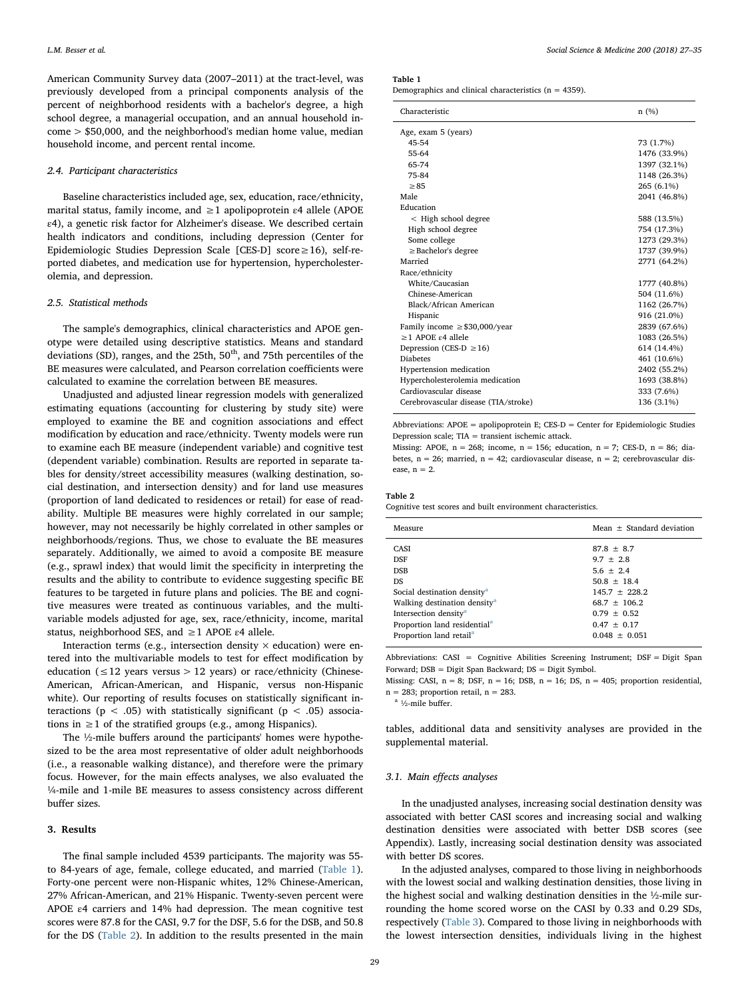American Community Survey data (2007–2011) at the tract-level, was previously developed from a principal components analysis of the percent of neighborhood residents with a bachelor's degree, a high school degree, a managerial occupation, and an annual household income > \$50,000, and the neighborhood's median home value, median household income, and percent rental income.

## 2.4. Participant characteristics

Baseline characteristics included age, sex, education, race/ethnicity, marital status, family income, and  $\geq 1$  apolipoprotein  $\varepsilon$ 4 allele (APOE ε4), a genetic risk factor for Alzheimer's disease. We described certain health indicators and conditions, including depression (Center for Epidemiologic Studies Depression Scale [CES-D] score≥16), self-reported diabetes, and medication use for hypertension, hypercholesterolemia, and depression.

## 2.5. Statistical methods

The sample's demographics, clinical characteristics and APOE genotype were detailed using descriptive statistics. Means and standard deviations (SD), ranges, and the 25th,  $50<sup>th</sup>$ , and 75th percentiles of the BE measures were calculated, and Pearson correlation coefficients were calculated to examine the correlation between BE measures.

Unadjusted and adjusted linear regression models with generalized estimating equations (accounting for clustering by study site) were employed to examine the BE and cognition associations and effect modification by education and race/ethnicity. Twenty models were run to examine each BE measure (independent variable) and cognitive test (dependent variable) combination. Results are reported in separate tables for density/street accessibility measures (walking destination, social destination, and intersection density) and for land use measures (proportion of land dedicated to residences or retail) for ease of readability. Multiple BE measures were highly correlated in our sample; however, may not necessarily be highly correlated in other samples or neighborhoods/regions. Thus, we chose to evaluate the BE measures separately. Additionally, we aimed to avoid a composite BE measure (e.g., sprawl index) that would limit the specificity in interpreting the results and the ability to contribute to evidence suggesting specific BE features to be targeted in future plans and policies. The BE and cognitive measures were treated as continuous variables, and the multivariable models adjusted for age, sex, race/ethnicity, income, marital status, neighborhood SES, and  $\geq 1$  APOE  $\varepsilon$ 4 allele.

Interaction terms (e.g., intersection density  $\times$  education) were entered into the multivariable models to test for effect modification by education ( $\leq$ 12 years versus > 12 years) or race/ethnicity (Chinese-American, African-American, and Hispanic, versus non-Hispanic white). Our reporting of results focuses on statistically significant interactions ( $p < .05$ ) with statistically significant ( $p < .05$ ) associations in  $\geq 1$  of the stratified groups (e.g., among Hispanics).

The ½-mile buffers around the participants' homes were hypothesized to be the area most representative of older adult neighborhoods (i.e., a reasonable walking distance), and therefore were the primary focus. However, for the main effects analyses, we also evaluated the ¼-mile and 1-mile BE measures to assess consistency across different buffer sizes.

# 3. Results

The final sample included 4539 participants. The majority was 55 to 84-years of age, female, college educated, and married ([Table 1](#page-2-0)). Forty-one percent were non-Hispanic whites, 12% Chinese-American, 27% African-American, and 21% Hispanic. Twenty-seven percent were APOE  $\varepsilon$ 4 carriers and 14% had depression. The mean cognitive test scores were 87.8 for the CASI, 9.7 for the DSF, 5.6 for the DSB, and 50.8 for the DS ([Table 2\)](#page-2-1). In addition to the results presented in the main

<span id="page-2-0"></span>Table 1

Demographics and clinical characteristics ( $n = 4359$ ).

| Characteristic                       | n(%)         |
|--------------------------------------|--------------|
| Age, exam 5 (years)                  |              |
| 45-54                                | 73 (1.7%)    |
| 55-64                                | 1476 (33.9%) |
| 65-74                                | 1397 (32.1%) |
| 75-84                                | 1148 (26.3%) |
| > 85                                 | 265 (6.1%)   |
| Male                                 | 2041 (46.8%) |
| Education                            |              |
| < High school degree                 | 588 (13.5%)  |
| High school degree                   | 754 (17.3%)  |
| Some college                         | 1273 (29.3%) |
| $\geq$ Bachelor's degree             | 1737 (39.9%) |
| Married                              | 2771 (64.2%) |
| Race/ethnicity                       |              |
| White/Caucasian                      | 1777 (40.8%) |
| Chinese-American                     | 504 (11.6%)  |
| Black/African American               | 1162 (26.7%) |
| Hispanic                             | 916 (21.0%)  |
| Family income $\geq$ \$30,000/year   | 2839 (67.6%) |
| $>1$ APOE $\varepsilon$ 4 allele     | 1083 (26.5%) |
| Depression (CES-D $\geq$ 16)         | 614 (14.4%)  |
| <b>Diabetes</b>                      | 461 (10.6%)  |
| Hypertension medication              | 2402 (55.2%) |
| Hypercholesterolemia medication      | 1693 (38.8%) |
| Cardiovascular disease               | 333 (7.6%)   |
| Cerebrovascular disease (TIA/stroke) | 136 (3.1%)   |
|                                      |              |

Abbreviations: APOE = apolipoprotein E; CES-D = Center for Epidemiologic Studies Depression scale; TIA = transient ischemic attack.

Missing: APOE,  $n = 268$ ; income,  $n = 156$ ; education,  $n = 7$ ; CES-D,  $n = 86$ ; diabetes, n = 26; married, n = 42; cardiovascular disease, n = 2; cerebrovascular disease,  $n = 2$ .

# <span id="page-2-1"></span>Table 2

Cognitive test scores and built environment characteristics.

| Measure                                  | Mean $+$ Standard deviation |
|------------------------------------------|-----------------------------|
| <b>CASI</b>                              | $87.8 + 8.7$                |
| <b>DSF</b>                               | $9.7 + 2.8$                 |
| <b>DSB</b>                               | $5.6 \pm 2.4$               |
| DS.                                      | $50.8 + 18.4$               |
| Social destination density <sup>a</sup>  | $145.7 + 228.2$             |
| Walking destination density <sup>a</sup> | $68.7 + 106.2$              |
| Intersection density <sup>a</sup>        | $0.79 + 0.52$               |
| Proportion land residential <sup>a</sup> | $0.47 + 0.17$               |
| Proportion land retail <sup>a</sup>      | $0.048 + 0.051$             |

Abbreviations: CASI = Cognitive Abilities Screening Instrument; DSF = Digit Span Forward; DSB = Digit Span Backward; DS = Digit Symbol.

Missing: CASI,  $n = 8$ ; DSF,  $n = 16$ ; DSB,  $n = 16$ ; DS,  $n = 405$ ; proportion residential,  $n = 283$ ; proportion retail,  $n = 283$ .

<span id="page-2-2"></span> $a$ <sup>1</sup>/<sub>2</sub>-mile buffer.

tables, additional data and sensitivity analyses are provided in the supplemental material.

## 3.1. Main effects analyses

In the unadjusted analyses, increasing social destination density was associated with better CASI scores and increasing social and walking destination densities were associated with better DSB scores (see Appendix). Lastly, increasing social destination density was associated with better DS scores.

In the adjusted analyses, compared to those living in neighborhoods with the lowest social and walking destination densities, those living in the highest social and walking destination densities in the ½-mile surrounding the home scored worse on the CASI by 0.33 and 0.29 SDs, respectively ([Table 3](#page-3-0)). Compared to those living in neighborhoods with the lowest intersection densities, individuals living in the highest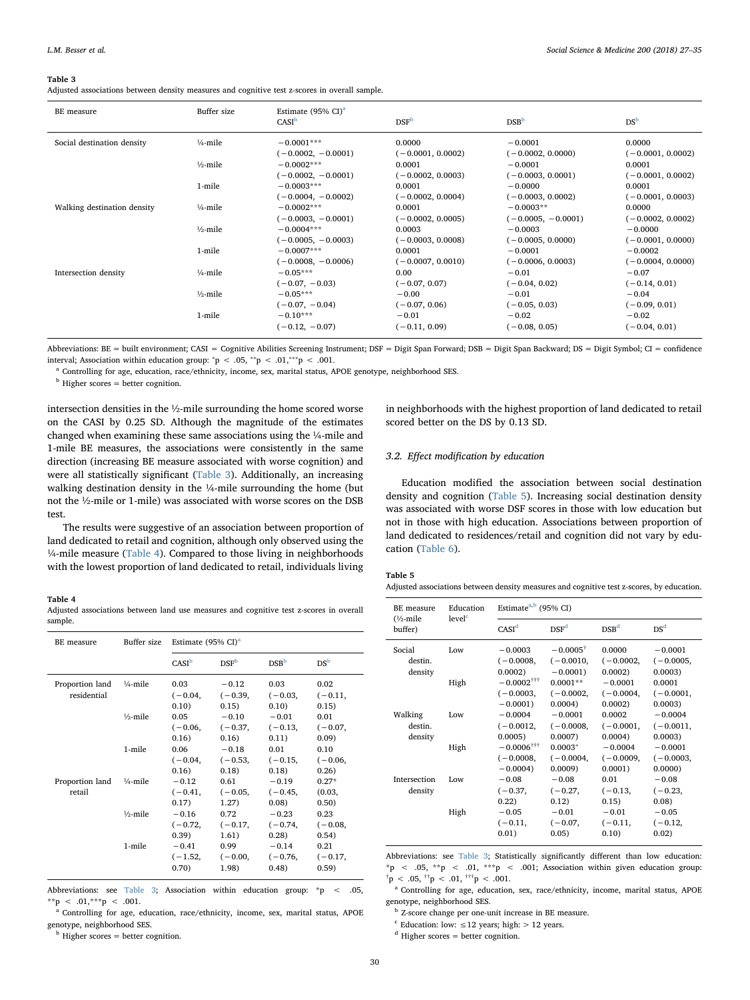#### <span id="page-3-0"></span>Table 3

Adjusted associations between density measures and cognitive test z-scores in overall sample.

| BE measure                  | Buffer size         | Estimate $(95\% \text{ CI})^a$<br>CASI <sup>b</sup> | DSF <sup>b</sup>    | DSB <sup>b</sup>     | DS <sup>b</sup>     |
|-----------------------------|---------------------|-----------------------------------------------------|---------------------|----------------------|---------------------|
| Social destination density  | $\frac{1}{4}$ -mile | $-0.0001***$                                        | 0.0000              | $-0.0001$            | 0.0000              |
|                             |                     | $(-0.0002, -0.0001)$                                | $(-0.0001, 0.0002)$ | $(-0.0002, 0.0000)$  | $(-0.0001, 0.0002)$ |
|                             | $\frac{1}{2}$ -mile | $-0.0002***$                                        | 0.0001              | $-0.0001$            | 0.0001              |
|                             |                     | $(-0.0002, -0.0001)$                                | $(-0.0002, 0.0003)$ | $(-0.0003, 0.0001)$  | $(-0.0001, 0.0002)$ |
|                             | 1-mile              | $-0.0003***$                                        | 0.0001              | $-0.0000$            | 0.0001              |
|                             |                     | $(-0.0004, -0.0002)$                                | $(-0.0002, 0.0004)$ | $(-0.0003, 0.0002)$  | $(-0.0001, 0.0003)$ |
| Walking destination density | $\frac{1}{4}$ -mile | $-0.0002***$                                        | 0.0001              | $-0.0003**$          | 0.0000              |
|                             |                     | $(-0.0003, -0.0001)$                                | $(-0.0002, 0.0005)$ | $(-0.0005, -0.0001)$ | $(-0.0002, 0.0002)$ |
|                             | $\frac{1}{2}$ -mile | $-0.0004***$                                        | 0.0003              | $-0.0003$            | $-0.0000$           |
|                             |                     | $(-0.0005, -0.0003)$                                | $(-0.0003, 0.0008)$ | $(-0.0005, 0.0000)$  | $(-0.0001, 0.0000)$ |
|                             | 1-mile              | $-0.0007***$                                        | 0.0001              | $-0.0001$            | $-0.0002$           |
|                             |                     | $(-0.0008, -0.0006)$                                | $(-0.0007, 0.0010)$ | $(-0.0006, 0.0003)$  | $(-0.0004, 0.0000)$ |
| Intersection density        | $\frac{1}{4}$ -mile | $-0.05***$                                          | 0.00                | $-0.01$              | $-0.07$             |
|                             |                     | $(-0.07, -0.03)$                                    | $(-0.07, 0.07)$     | $(-0.04, 0.02)$      | $(-0.14, 0.01)$     |
|                             | $\frac{1}{2}$ -mile | $-0.05***$                                          | $-0.00$             | $-0.01$              | $-0.04$             |
|                             |                     | $(-0.07, -0.04)$                                    | $(-0.07, 0.06)$     | $(-0.05, 0.03)$      | $(-0.09, 0.01)$     |
|                             | 1-mile              | $-0.10***$                                          | $-0.01$             | $-0.02$              | $-0.02$             |
|                             |                     | $(-0.12, -0.07)$                                    | $(-0.11, 0.09)$     | $(-0.08, 0.05)$      | $(-0.04, 0.01)$     |

Abbreviations: BE = built environment; CASI = Cognitive Abilities Screening Instrument; DSF = Digit Span Forward; DSB = Digit Span Backward; DS = Digit Symbol; CI = confidence interval; Association within education group:  $^*p < .05, ^{**}p < .01, ^{***}p < .001$ .

<span id="page-3-3"></span><sup>a</sup> Controlling for age, education, race/ethnicity, income, sex, marital status, APOE genotype, neighborhood SES.

<span id="page-3-4"></span> $<sup>b</sup>$  Higher scores = better cognition.</sup>

intersection densities in the ½-mile surrounding the home scored worse on the CASI by 0.25 SD. Although the magnitude of the estimates changed when examining these same associations using the ¼-mile and 1-mile BE measures, the associations were consistently in the same direction (increasing BE measure associated with worse cognition) and were all statistically significant [\(Table 3](#page-3-0)). Additionally, an increasing walking destination density in the ¼-mile surrounding the home (but not the ½-mile or 1-mile) was associated with worse scores on the DSB test.

The results were suggestive of an association between proportion of land dedicated to retail and cognition, although only observed using the ¼-mile measure [\(Table 4\)](#page-3-1). Compared to those living in neighborhoods with the lowest proportion of land dedicated to retail, individuals living

## <span id="page-3-1"></span>Table 4

Adjusted associations between land use measures and cognitive test z-scores in overall sample.

| BE measure                     | Buffer size         | Estimate $(95\% \text{ CI})^a$ |                               |                                |                            |
|--------------------------------|---------------------|--------------------------------|-------------------------------|--------------------------------|----------------------------|
|                                |                     | CASI <sup>b</sup>              | DSF <sup>b</sup>              | DSB <sup>b</sup>               | $DS^{\rm b}$               |
| Proportion land<br>residential | $\frac{1}{4}$ -mile | 0.03<br>$(-0.04,$<br>0.10)     | $-0.12$<br>$(-0.39,$<br>0.15) | 0.03<br>$(-0.03,$<br>0.10)     | 0.02<br>$(-0.11,$<br>0.15) |
|                                | $1/2$ -mile         | 0.05<br>$(-0.06,$<br>0.16)     | $-0.10$<br>$(-0.37,$<br>0.16) | $-0.01$<br>$(-0.13,$<br>0.11)  | 0.01<br>$(-0.07,$<br>0.09) |
|                                | 1-mile              | 0.06<br>$(-0.04,$<br>0.16)     | $-0.18$<br>$(-0.53,$<br>0.18) | 0.01<br>$(-0.15,$<br>0.18)     | 0.10<br>$(-0.06,$<br>0.26) |
| Proportion land<br>retail      | $\frac{1}{4}$ -mile | $-0.12$<br>$(-0.41,$<br>0.17)  | 0.61<br>$(-0.05,$<br>1.27)    | $-0.19$<br>$(-0.45,$<br>0.08)  | $0.27*$<br>(0.03,<br>0.50) |
|                                | $1/2$ -mile         | $-0.16$<br>$(-0.72,$<br>0.39)  | 0.72<br>$(-0.17,$<br>1.61)    | $-0.23$<br>$(-0.74,$<br>0.28)  | 0.23<br>$(-0.08,$<br>0.54) |
|                                | 1-mile              | $-0.41$<br>$(-1.52,$<br>0.70)  | 0.99<br>$(-0.00,$<br>1.98)    | $-0.14$<br>$(-0.76,$<br>(0.48) | 0.21<br>$(-0.17,$<br>0.59) |

Abbreviations: see [Table 3;](#page-3-0) Association within education group: \*p < .05, \*\*p < .01,\*\*\*p < .001.

<span id="page-3-5"></span>Controlling for age, education, race/ethnicity, income, sex, marital status, APOE genotype, neighborhood SES.

<span id="page-3-6"></span> $<sup>b</sup>$  Higher scores = better cognition.</sup>

in neighborhoods with the highest proportion of land dedicated to retail scored better on the DS by 0.13 SD.

# 3.2. Effect modification by education

Education modified the association between social destination density and cognition [\(Table 5](#page-3-2)). Increasing social destination density was associated with worse DSF scores in those with low education but not in those with high education. Associations between proportion of land dedicated to residences/retail and cognition did not vary by education [\(Table 6\)](#page-4-0).

## <span id="page-3-2"></span>Table 5

Adjusted associations between density measures and cognitive test z-scores, by education.

| BE measure<br>$\frac{1}{2}$ -mile<br>buffer) | Education<br>level <sup>c</sup> | Estimate <sup>a,b</sup> (95% CI)                       |                                                 |                                    |                                    |  |
|----------------------------------------------|---------------------------------|--------------------------------------------------------|-------------------------------------------------|------------------------------------|------------------------------------|--|
|                                              |                                 | CASI <sup>d</sup>                                      | DSF <sup>d</sup>                                | DSB <sup>d</sup>                   | DS <sup>d</sup>                    |  |
| Social<br>destin.<br>density                 | Low                             | $-0.0003$<br>$(-0.0008,$<br>0.0002                     | $-0.0005^{\dagger}$<br>$(-0.0010,$<br>$-0.0001$ | 0.0000<br>$(-0.0002,$<br>0.0002    | $-0.0001$<br>$(-0.0005,$<br>0.0003 |  |
|                                              | High                            | $-0.0002$ <sup>†††</sup><br>$(-0.0003,$<br>$-0.0001$ ) | $0.0001**$<br>$(-0.0002,$<br>0.0004             | $-0.0001$<br>$(-0.0004,$<br>0.0002 | 0.0001<br>$(-0.0001,$<br>0.0003    |  |
| Walking<br>destin.<br>density                | Low                             | $-0.0004$<br>$(-0.0012,$<br>0.0005                     | $-0.0001$<br>$(-0.0008,$<br>0.0007              | 0.0002<br>$(-0.0001,$<br>0.0004    | $-0.0004$<br>$(-0.0011,$<br>0.0003 |  |
|                                              | High                            | $-0.0006$ <sup>†††</sup><br>$(-0.0008,$<br>$-0.0004$   | $0.0003*$<br>$(-0.0004,$<br>0.0009              | $-0.0004$<br>$(-0.0009,$<br>0.0001 | $-0.0001$<br>$(-0.0003,$<br>0.0000 |  |
| Intersection<br>density                      | Low                             | $-0.08$<br>$(-0.37,$<br>0.22)                          | $-0.08$<br>$(-0.27,$<br>0.12)                   | 0.01<br>$(-0.13,$<br>0.15)         | $-0.08$<br>$(-0.23,$<br>0.08)      |  |
|                                              | High                            | $-0.05$<br>$(-0.11,$<br>0.01)                          | $-0.01$<br>$(-0.07,$<br>0.05)                   | $-0.01$<br>$(-0.11,$<br>0.10)      | $-0.05$<br>$(-0.12,$<br>0.02)      |  |

Abbreviations: see [Table 3;](#page-3-0) Statistically significantly different than low education: \*p < .05, \*\*p < .01, \*\*\*p < .001; Association within given education group:  $\phi^{\dagger}$ p < .05,  $\phi^{\dagger}$ p < .01,  $\phi^{\dagger}$ +  $\phi$  < .001.

<span id="page-3-8"></span><sup>a</sup> Controlling for age, education, sex, race/ethnicity, income, marital status, APOE genotype, neighborhood SES.

<span id="page-3-9"></span> $^{\rm b}$  Z-score change per one-unit increase in BE measure.

<span id="page-3-7"></span> $\text{c}$  Education: low:  $\leq$ 12 years; high: > 12 years.

<span id="page-3-10"></span> $^{\text{d}}$  Higher scores = better cognition.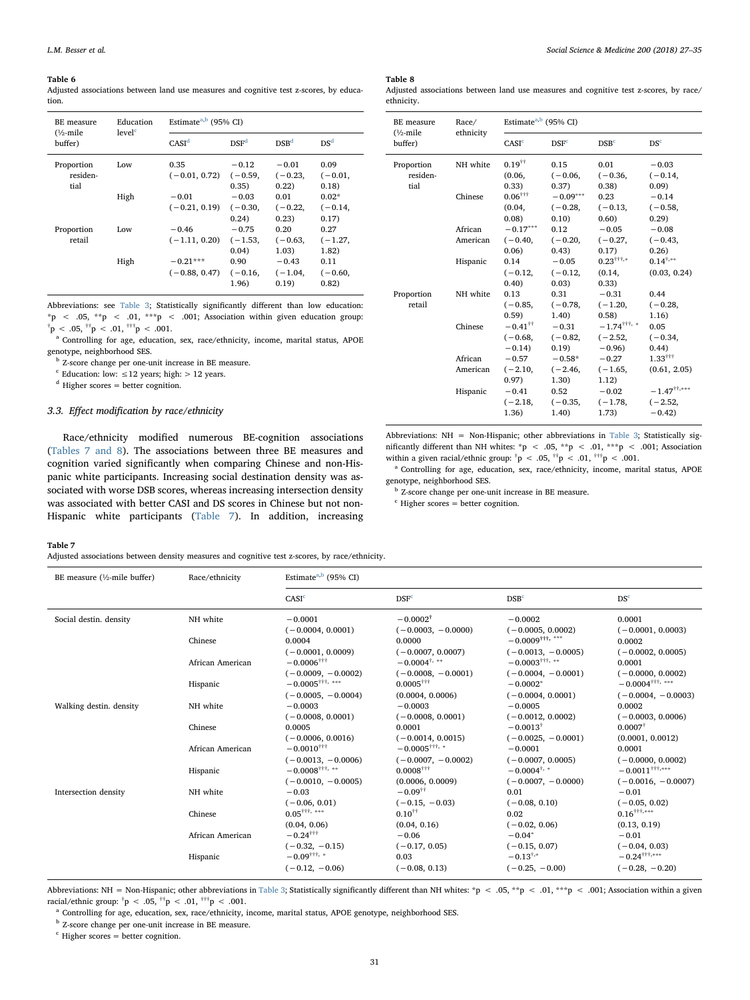#### <span id="page-4-0"></span>Table 6

Adjusted associations between land use measures and cognitive test z-scores, by education.

| BE measure<br>level <sup>c</sup><br>$\frac{1}{2}$ -mile<br>buffer) | Education | Estimate <sup>a,b</sup> (95% CI) |                               |                               |                               |  |
|--------------------------------------------------------------------|-----------|----------------------------------|-------------------------------|-------------------------------|-------------------------------|--|
|                                                                    |           | CASI <sup>d</sup>                | DSF <sup>d</sup>              | DSB <sup>d</sup>              | DS <sup>d</sup>               |  |
| Proportion<br>residen-<br>tial                                     | Low       | 0.35<br>$(-0.01, 0.72)$          | $-0.12$<br>$(-0.59,$<br>0.35) | $-0.01$<br>$(-0.23,$<br>0.22) | 0.09<br>$(-0.01,$<br>0.18)    |  |
|                                                                    | High      | $-0.01$<br>$(-0.21, 0.19)$       | $-0.03$<br>$(-0.30,$<br>0.24) | 0.01<br>$(-0.22,$<br>0.23)    | $0.02*$<br>$(-0.14,$<br>0.17) |  |
| Proportion<br>retail                                               | Low       | $-0.46$<br>$(-1.11, 0.20)$       | $-0.75$<br>$(-1.53,$<br>0.04) | 0.20<br>$(-0.63,$<br>1.03)    | 0.27<br>$(-1.27,$<br>1.82)    |  |
|                                                                    | High      | $-0.21***$<br>$(-0.88, 0.47)$    | 0.90<br>$(-0.16,$<br>1.96)    | $-0.43$<br>$(-1.04,$<br>0.19  | 0.11<br>$(-0.60,$<br>0.82)    |  |

Abbreviations: see [Table 3;](#page-3-0) Statistically significantly different than low education: \*p < .05, \*\*p < .01, \*\*\*p < .001; Association within given education group:  $\phi^{\dagger}$ p < .05,  $\phi^{\dagger}$ p < .01,  $\phi^{\dagger}$ +  $\phi$  < .001.

<span id="page-4-3"></span><sup>a</sup> Controlling for age, education, sex, race/ethnicity, income, marital status, APOE genotype, neighborhood SES.

<span id="page-4-4"></span><sup>b</sup> Z-score change per one-unit increase in BE measure.

<span id="page-4-2"></span> $\epsilon$  Education: low: ≤12 years; high: > 12 years.

<span id="page-4-5"></span> $^{\rm d}$  Higher scores = better cognition.

# 3.3. Effect modification by race/ethnicity

Race/ethnicity modified numerous BE-cognition associations ([Tables 7 and 8](#page-4-1)). The associations between three BE measures and cognition varied significantly when comparing Chinese and non-Hispanic white participants. Increasing social destination density was associated with worse DSB scores, whereas increasing intersection density was associated with better CASI and DS scores in Chinese but not non-Hispanic white participants [\(Table 7](#page-4-1)). In addition, increasing

## <span id="page-4-12"></span>Table 8

Adjusted associations between land use measures and cognitive test z-scores, by race/ ethnicity.

| BE measure<br>$(\frac{1}{2})$ -mile<br>buffer) | Race/<br>ethnicity | Estimate <sup>a,b</sup> (95% CI)              |                  |                                  |                              |  |
|------------------------------------------------|--------------------|-----------------------------------------------|------------------|----------------------------------|------------------------------|--|
|                                                |                    | CASI <sup>c</sup>                             | DSF <sup>c</sup> | DSB <sup>c</sup>                 | DS <sup>c</sup>              |  |
| Proportion                                     | NH white           | $0.19$ <sup><math>\dagger\dagger</math></sup> | 0.15             | 0.01                             | $-0.03$                      |  |
| residen-                                       |                    | (0.06,                                        | $(-0.06,$        | $(-0.36,$                        | $(-0.14,$                    |  |
| tial                                           |                    | (0.33)                                        | 0.37)            | (0.38)                           | 0.09                         |  |
|                                                | Chinese            | $0.06^{+11}$                                  | $-0.09***$       | 0.23                             | $-0.14$                      |  |
|                                                |                    | (0.04,                                        | $(-0.28,$        | $(-0.13,$                        | $(-0.58,$                    |  |
|                                                |                    | 0.08                                          | 0.10)            | 0.60)                            | 0.29                         |  |
|                                                | African            | $-0.17***$                                    | 0.12             | $-0.05$                          | $-0.08$                      |  |
|                                                | American           | $(-0.40,$                                     | $(-0.20,$        | $(-0.27,$                        | $(-0.43,$                    |  |
|                                                |                    | 0.06)                                         | 0.43)            | 0.17)                            | 0.26)                        |  |
|                                                | Hispanic           | 0.14                                          | $-0.05$          | $0.23^{\dagger\dagger\dagger,*}$ | $0.14^{+,*}$                 |  |
|                                                |                    | $(-0.12,$                                     | $(-0.12,$        | (0.14,                           | (0.03, 0.24)                 |  |
|                                                |                    | (0.40)                                        | 0.03)            | 0.33)                            |                              |  |
| Proportion                                     | NH white           | 0.13                                          | 0.31             | $-0.31$                          | 0.44                         |  |
| retail                                         |                    | $(-0.85,$                                     | $(-0.78,$        | $(-1.20,$                        | $(-0.28,$                    |  |
|                                                |                    | (0.59)                                        | 1.40)            | 0.58                             | 1.16)                        |  |
|                                                | Chinese            | $-0.41$ <sup>††</sup>                         | $-0.31$          | $-1.74$ <sup>††††</sup> , *      | 0.05                         |  |
|                                                |                    | $(-0.68,$                                     | $(-0.82,$        | $(-2.52,$                        | $(-0.34,$                    |  |
|                                                |                    | $-0.14$                                       | 0.19)            | $-0.96$                          | 0.44)                        |  |
|                                                | African            | $-0.57$                                       | $-0.58*$         | $-0.27$                          | $1.33^{+11}$                 |  |
|                                                | American           | $(-2.10,$                                     | $(-2.46,$        | $(-1.65,$                        | (0.61, 2.05)                 |  |
|                                                |                    | 0.97)                                         | 1.30)            | 1.12)                            |                              |  |
|                                                | Hispanic           | $-0.41$                                       | 0.52             | $-0.02$                          | $-1.47^{\dagger\dagger,***}$ |  |
|                                                |                    | $(-2.18,$                                     | $(-0.35,$        | $(-1.78,$                        | $(-2.52,$                    |  |
|                                                |                    | 1.36)                                         | 1.40)            | 1.73)                            | $-0.42$                      |  |

Abbreviations: NH = Non-Hispanic; other abbreviations in [Table 3;](#page-3-0) Statistically significantly different than NH whites: \*p < .05, \*\*p < .01, \*\*\*p < .001; Association within a given racial/ethnic group:  $\bar{p}$  < .05,  $\bar{p}$  < .01,  $\bar{p}$  < .001.

<span id="page-4-9"></span><sup>a</sup> Controlling for age, education, sex, race/ethnicity, income, marital status, APOE genotype, neighborhood SES.

<span id="page-4-10"></span><sup>b</sup> Z-score change per one-unit increase in BE measure.

<span id="page-4-11"></span> $c$  Higher scores = better cognition.

# <span id="page-4-1"></span>Table 7

Adjusted associations between density measures and cognitive test z-scores, by race/ethnicity.

| BE measure $(\frac{1}{2})$ -mile buffer) | Race/ethnicity               | Estimate <sup>a,b</sup> (95% CI)                                                                                      |                                                                                                   |                                                                                            |                                                                                                 |  |
|------------------------------------------|------------------------------|-----------------------------------------------------------------------------------------------------------------------|---------------------------------------------------------------------------------------------------|--------------------------------------------------------------------------------------------|-------------------------------------------------------------------------------------------------|--|
|                                          |                              | CASI <sup>c</sup>                                                                                                     | DSF <sup>c</sup>                                                                                  | DSB <sup>c</sup>                                                                           | DS <sup>c</sup>                                                                                 |  |
| Social destin. density                   | NH white                     | $-0.0001$<br>$(-0.0004, 0.0001)$                                                                                      | $-0.0002^{\dagger}$<br>$(-0.0003, -0.0000)$                                                       | $-0.0002$<br>$(-0.0005, 0.0002)$                                                           | 0.0001<br>$(-0.0001, 0.0003)$                                                                   |  |
|                                          | Chinese                      | 0.0004                                                                                                                | 0.0000                                                                                            | $-0.0009$ <sup>†††,***</sup>                                                               | 0.0002                                                                                          |  |
|                                          | African American<br>Hispanic | $(-0.0001, 0.0009)$<br>$-0.0006$ <sup>†††</sup><br>$(-0.0009, -0.0002)$<br>$-0.0005^{ \dagger \dagger \dagger ,~***}$ | $(-0.0007, 0.0007)$<br>$-0.0004^{\dagger, **}$<br>$(-0.0008, -0.0001)$<br>$0.0005$ <sup>†††</sup> | $(-0.0013, -0.0005)$<br>$-0.0003$ <sup>†††,</sup> **<br>$(-0.0004, -0.0001)$<br>$-0.0002*$ | $(-0.0002, 0.0005)$<br>0.0001<br>$(-0.0000, 0.0002)$<br>$-0.0004^{\dagger\dagger\dagger,\;***}$ |  |
|                                          |                              | $(-0.0005, -0.0004)$                                                                                                  | (0.0004, 0.0006)                                                                                  | $(-0.0004, 0.0001)$                                                                        | $(-0.0004, -0.0003)$                                                                            |  |
| Walking destin, density                  | NH white                     | $-0.0003$<br>$(-0.0008, 0.0001)$                                                                                      | $-0.0003$<br>$(-0.0008, 0.0001)$                                                                  | $-0.0005$<br>$(-0.0012, 0.0002)$                                                           | 0.0002<br>$(-0.0003, 0.0006)$                                                                   |  |
|                                          | Chinese                      | 0.0005                                                                                                                | 0.0001                                                                                            | $-0.0013^{\dagger}$                                                                        | $0.0007$ <sup>†</sup>                                                                           |  |
|                                          | African American             | $(-0.0006, 0.0016)$<br>$-0.0010^{++}$<br>$(-0.0013, -0.0006)$                                                         | $(-0.0014, 0.0015)$<br>$-0.0005^{+\dagger\dagger,~*}$<br>$(-0.0007, -0.0002)$                     | $(-0.0025, -0.0001)$<br>$-0.0001$<br>$(-0.0007, 0.0005)$                                   | (0.0001, 0.0012)<br>0.0001<br>$(-0.0000, 0.0002)$                                               |  |
|                                          | Hispanic                     | $-0.0008$ <sup>†††,</sup> **<br>$(-0.0010, -0.0005)$                                                                  | $0.0008$ <sup>†††</sup><br>(0.0006, 0.0009)                                                       | $-0.0004^{\dagger,+}$<br>$(-0.0007, -0.0000)$                                              | $-0.0011$ <sup>†††,***</sup><br>$(-0.0016, -0.0007)$                                            |  |
| Intersection density                     | NH white                     | $-0.03$                                                                                                               | $-0.09$ <sup>††</sup>                                                                             | 0.01                                                                                       | $-0.01$                                                                                         |  |
|                                          | Chinese                      | $(-0.06, 0.01)$<br>$0.05$ <sup>†††,</sup> ***                                                                         | $(-0.15, -0.03)$<br>$0.10^{11}$                                                                   | $(-0.08, 0.10)$<br>0.02                                                                    | $(-0.05, 0.02)$<br>$0.16$ <sup>†††</sup> ,***                                                   |  |
|                                          | African American             | (0.04, 0.06)<br>$-0.24$ <sup>††††</sup>                                                                               | (0.04, 0.16)<br>$-0.06$                                                                           | $(-0.02, 0.06)$<br>$-0.04*$                                                                | (0.13, 0.19)<br>$-0.01$                                                                         |  |
|                                          | Hispanic                     | $(-0.32, -0.15)$<br>$-0.09$ <sup>†††,</sup> *<br>$(-0.12, -0.06)$                                                     | $(-0.17, 0.05)$<br>0.03<br>$(-0.08, 0.13)$                                                        | $(-0.15, 0.07)$<br>$-0.13^{\dagger,*}$<br>$(-0.25, -0.00)$                                 | $(-0.04, 0.03)$<br>$-0.24$ <sup>†††</sup> ,***<br>$(-0.28, -0.20)$                              |  |

Abbreviations: NH = Non-Hispanic; other abbreviations in [Table 3;](#page-3-0) Statistically significantly different than NH whites: \*p < .05, \*\*p < .01, \*\*\*p < .001; Association within a given racial/ethnic group:  $\phi^{\dagger}$   $p < .05$ ,  $\phi^{\dagger}$   $p < .01$ ,  $\phi^{\dagger}$   $p < .001$ .

<span id="page-4-6"></span><sup>a</sup> Controlling for age, education, sex, race/ethnicity, income, marital status, APOE genotype, neighborhood SES.

<span id="page-4-7"></span><sup>b</sup> Z-score change per one-unit increase in BE measure.

<span id="page-4-8"></span> $\,^{\rm c}$  Higher scores = better cognition.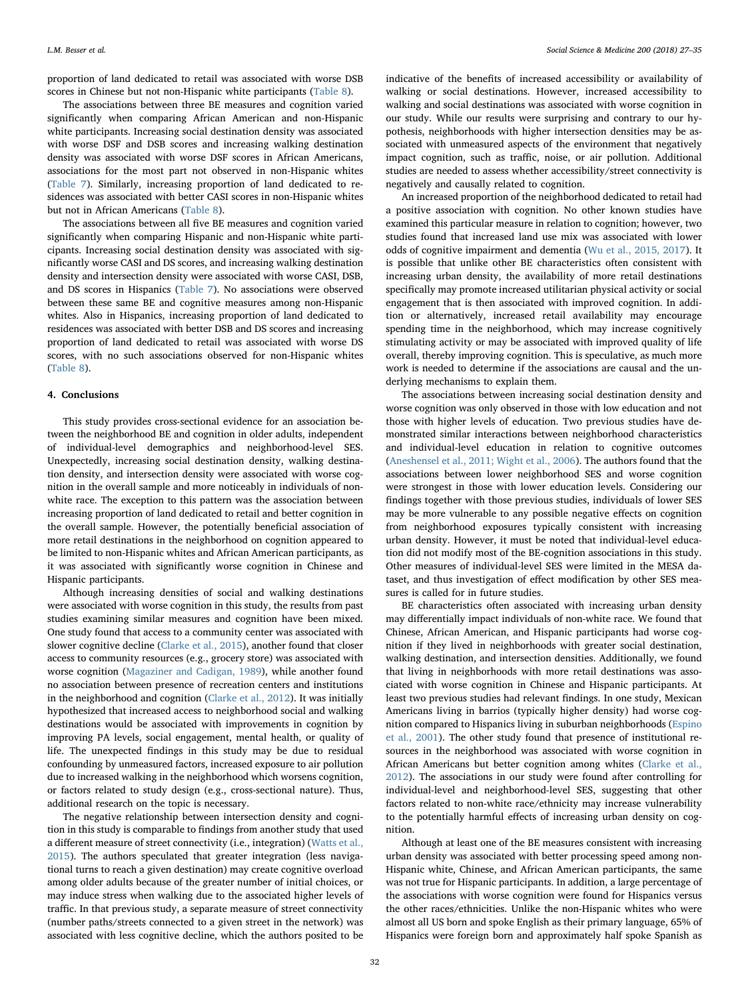proportion of land dedicated to retail was associated with worse DSB scores in Chinese but not non-Hispanic white participants [\(Table 8\)](#page-4-12).

The associations between three BE measures and cognition varied significantly when comparing African American and non-Hispanic white participants. Increasing social destination density was associated with worse DSF and DSB scores and increasing walking destination density was associated with worse DSF scores in African Americans, associations for the most part not observed in non-Hispanic whites ([Table 7\)](#page-4-1). Similarly, increasing proportion of land dedicated to residences was associated with better CASI scores in non-Hispanic whites but not in African Americans ([Table 8\)](#page-4-12).

The associations between all five BE measures and cognition varied significantly when comparing Hispanic and non-Hispanic white participants. Increasing social destination density was associated with significantly worse CASI and DS scores, and increasing walking destination density and intersection density were associated with worse CASI, DSB, and DS scores in Hispanics [\(Table 7](#page-4-1)). No associations were observed between these same BE and cognitive measures among non-Hispanic whites. Also in Hispanics, increasing proportion of land dedicated to residences was associated with better DSB and DS scores and increasing proportion of land dedicated to retail was associated with worse DS scores, with no such associations observed for non-Hispanic whites ([Table 8](#page-4-12)).

# 4. Conclusions

This study provides cross-sectional evidence for an association between the neighborhood BE and cognition in older adults, independent of individual-level demographics and neighborhood-level SES. Unexpectedly, increasing social destination density, walking destination density, and intersection density were associated with worse cognition in the overall sample and more noticeably in individuals of nonwhite race. The exception to this pattern was the association between increasing proportion of land dedicated to retail and better cognition in the overall sample. However, the potentially beneficial association of more retail destinations in the neighborhood on cognition appeared to be limited to non-Hispanic whites and African American participants, as it was associated with significantly worse cognition in Chinese and Hispanic participants.

Although increasing densities of social and walking destinations were associated with worse cognition in this study, the results from past studies examining similar measures and cognition have been mixed. One study found that access to a community center was associated with slower cognitive decline ([Clarke et al., 2015\)](#page-7-28), another found that closer access to community resources (e.g., grocery store) was associated with worse cognition [\(Magaziner and Cadigan, 1989\)](#page-7-29), while another found no association between presence of recreation centers and institutions in the neighborhood and cognition [\(Clarke et al., 2012](#page-7-6)). It was initially hypothesized that increased access to neighborhood social and walking destinations would be associated with improvements in cognition by improving PA levels, social engagement, mental health, or quality of life. The unexpected findings in this study may be due to residual confounding by unmeasured factors, increased exposure to air pollution due to increased walking in the neighborhood which worsens cognition, or factors related to study design (e.g., cross-sectional nature). Thus, additional research on the topic is necessary.

The negative relationship between intersection density and cognition in this study is comparable to findings from another study that used a different measure of street connectivity (i.e., integration) [\(Watts et al.,](#page-8-2) [2015\)](#page-8-2). The authors speculated that greater integration (less navigational turns to reach a given destination) may create cognitive overload among older adults because of the greater number of initial choices, or may induce stress when walking due to the associated higher levels of traffic. In that previous study, a separate measure of street connectivity (number paths/streets connected to a given street in the network) was associated with less cognitive decline, which the authors posited to be

indicative of the benefits of increased accessibility or availability of walking or social destinations. However, increased accessibility to walking and social destinations was associated with worse cognition in our study. While our results were surprising and contrary to our hypothesis, neighborhoods with higher intersection densities may be associated with unmeasured aspects of the environment that negatively impact cognition, such as traffic, noise, or air pollution. Additional studies are needed to assess whether accessibility/street connectivity is negatively and causally related to cognition.

An increased proportion of the neighborhood dedicated to retail had a positive association with cognition. No other known studies have examined this particular measure in relation to cognition; however, two studies found that increased land use mix was associated with lower odds of cognitive impairment and dementia [\(Wu et al., 2015, 2017\)](#page-8-3). It is possible that unlike other BE characteristics often consistent with increasing urban density, the availability of more retail destinations specifically may promote increased utilitarian physical activity or social engagement that is then associated with improved cognition. In addition or alternatively, increased retail availability may encourage spending time in the neighborhood, which may increase cognitively stimulating activity or may be associated with improved quality of life overall, thereby improving cognition. This is speculative, as much more work is needed to determine if the associations are causal and the underlying mechanisms to explain them.

The associations between increasing social destination density and worse cognition was only observed in those with low education and not those with higher levels of education. Two previous studies have demonstrated similar interactions between neighborhood characteristics and individual-level education in relation to cognitive outcomes ([Aneshensel et al., 2011; Wight et al., 2006](#page-7-13)). The authors found that the associations between lower neighborhood SES and worse cognition were strongest in those with lower education levels. Considering our findings together with those previous studies, individuals of lower SES may be more vulnerable to any possible negative effects on cognition from neighborhood exposures typically consistent with increasing urban density. However, it must be noted that individual-level education did not modify most of the BE-cognition associations in this study. Other measures of individual-level SES were limited in the MESA dataset, and thus investigation of effect modification by other SES measures is called for in future studies.

BE characteristics often associated with increasing urban density may differentially impact individuals of non-white race. We found that Chinese, African American, and Hispanic participants had worse cognition if they lived in neighborhoods with greater social destination, walking destination, and intersection densities. Additionally, we found that living in neighborhoods with more retail destinations was associated with worse cognition in Chinese and Hispanic participants. At least two previous studies had relevant findings. In one study, Mexican Americans living in barrios (typically higher density) had worse cognition compared to Hispanics living in suburban neighborhoods [\(Espino](#page-7-30) [et al., 2001](#page-7-30)). The other study found that presence of institutional resources in the neighborhood was associated with worse cognition in African Americans but better cognition among whites [\(Clarke et al.,](#page-7-6) [2012\)](#page-7-6). The associations in our study were found after controlling for individual-level and neighborhood-level SES, suggesting that other factors related to non-white race/ethnicity may increase vulnerability to the potentially harmful effects of increasing urban density on cognition.

Although at least one of the BE measures consistent with increasing urban density was associated with better processing speed among non-Hispanic white, Chinese, and African American participants, the same was not true for Hispanic participants. In addition, a large percentage of the associations with worse cognition were found for Hispanics versus the other races/ethnicities. Unlike the non-Hispanic whites who were almost all US born and spoke English as their primary language, 65% of Hispanics were foreign born and approximately half spoke Spanish as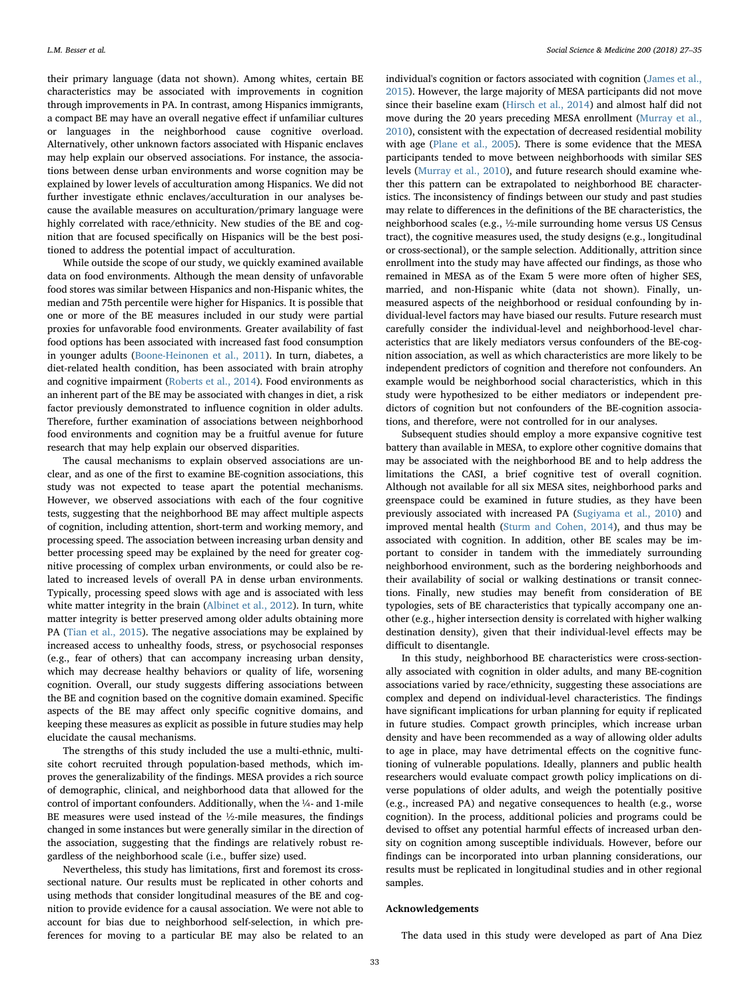their primary language (data not shown). Among whites, certain BE characteristics may be associated with improvements in cognition through improvements in PA. In contrast, among Hispanics immigrants, a compact BE may have an overall negative effect if unfamiliar cultures or languages in the neighborhood cause cognitive overload. Alternatively, other unknown factors associated with Hispanic enclaves may help explain our observed associations. For instance, the associations between dense urban environments and worse cognition may be explained by lower levels of acculturation among Hispanics. We did not further investigate ethnic enclaves/acculturation in our analyses because the available measures on acculturation/primary language were highly correlated with race/ethnicity. New studies of the BE and cognition that are focused specifically on Hispanics will be the best positioned to address the potential impact of acculturation.

While outside the scope of our study, we quickly examined available data on food environments. Although the mean density of unfavorable food stores was similar between Hispanics and non-Hispanic whites, the median and 75th percentile were higher for Hispanics. It is possible that one or more of the BE measures included in our study were partial proxies for unfavorable food environments. Greater availability of fast food options has been associated with increased fast food consumption in younger adults [\(Boone-Heinonen et al., 2011\)](#page-7-10). In turn, diabetes, a diet-related health condition, has been associated with brain atrophy and cognitive impairment [\(Roberts et al., 2014\)](#page-7-31). Food environments as an inherent part of the BE may be associated with changes in diet, a risk factor previously demonstrated to influence cognition in older adults. Therefore, further examination of associations between neighborhood food environments and cognition may be a fruitful avenue for future research that may help explain our observed disparities.

The causal mechanisms to explain observed associations are unclear, and as one of the first to examine BE-cognition associations, this study was not expected to tease apart the potential mechanisms. However, we observed associations with each of the four cognitive tests, suggesting that the neighborhood BE may affect multiple aspects of cognition, including attention, short-term and working memory, and processing speed. The association between increasing urban density and better processing speed may be explained by the need for greater cognitive processing of complex urban environments, or could also be related to increased levels of overall PA in dense urban environments. Typically, processing speed slows with age and is associated with less white matter integrity in the brain [\(Albinet et al., 2012](#page-7-32)). In turn, white matter integrity is better preserved among older adults obtaining more PA [\(Tian et al., 2015\)](#page-7-33). The negative associations may be explained by increased access to unhealthy foods, stress, or psychosocial responses (e.g., fear of others) that can accompany increasing urban density, which may decrease healthy behaviors or quality of life, worsening cognition. Overall, our study suggests differing associations between the BE and cognition based on the cognitive domain examined. Specific aspects of the BE may affect only specific cognitive domains, and keeping these measures as explicit as possible in future studies may help elucidate the causal mechanisms.

The strengths of this study included the use a multi-ethnic, multisite cohort recruited through population-based methods, which improves the generalizability of the findings. MESA provides a rich source of demographic, clinical, and neighborhood data that allowed for the control of important confounders. Additionally, when the ¼- and 1-mile BE measures were used instead of the ½-mile measures, the findings changed in some instances but were generally similar in the direction of the association, suggesting that the findings are relatively robust regardless of the neighborhood scale (i.e., buffer size) used.

Nevertheless, this study has limitations, first and foremost its crosssectional nature. Our results must be replicated in other cohorts and using methods that consider longitudinal measures of the BE and cognition to provide evidence for a causal association. We were not able to account for bias due to neighborhood self-selection, in which preferences for moving to a particular BE may also be related to an individual's cognition or factors associated with cognition [\(James](#page-7-34) et al., [2015\)](#page-7-34). However, the large majority of MESA participants did not move since their baseline exam [\(Hirsch et al., 2014](#page-7-35)) and almost half did not move during the 20 years preceding MESA enrollment [\(Murray et al.,](#page-7-36) [2010\)](#page-7-36), consistent with the expectation of decreased residential mobility with age [\(Plane et al., 2005\)](#page-7-37). There is some evidence that the MESA participants tended to move between neighborhoods with similar SES levels [\(Murray et al., 2010\)](#page-7-36), and future research should examine whether this pattern can be extrapolated to neighborhood BE characteristics. The inconsistency of findings between our study and past studies may relate to differences in the definitions of the BE characteristics, the neighborhood scales (e.g., ½-mile surrounding home versus US Census tract), the cognitive measures used, the study designs (e.g., longitudinal or cross-sectional), or the sample selection. Additionally, attrition since enrollment into the study may have affected our findings, as those who remained in MESA as of the Exam 5 were more often of higher SES, married, and non-Hispanic white (data not shown). Finally, unmeasured aspects of the neighborhood or residual confounding by individual-level factors may have biased our results. Future research must carefully consider the individual-level and neighborhood-level characteristics that are likely mediators versus confounders of the BE-cognition association, as well as which characteristics are more likely to be independent predictors of cognition and therefore not confounders. An example would be neighborhood social characteristics, which in this study were hypothesized to be either mediators or independent predictors of cognition but not confounders of the BE-cognition associations, and therefore, were not controlled for in our analyses.

Subsequent studies should employ a more expansive cognitive test battery than available in MESA, to explore other cognitive domains that may be associated with the neighborhood BE and to help address the limitations the CASI, a brief cognitive test of overall cognition. Although not available for all six MESA sites, neighborhood parks and greenspace could be examined in future studies, as they have been previously associated with increased PA [\(Sugiyama et al., 2010](#page-7-38)) and improved mental health [\(Sturm and Cohen, 2014](#page-7-39)), and thus may be associated with cognition. In addition, other BE scales may be important to consider in tandem with the immediately surrounding neighborhood environment, such as the bordering neighborhoods and their availability of social or walking destinations or transit connections. Finally, new studies may benefit from consideration of BE typologies, sets of BE characteristics that typically accompany one another (e.g., higher intersection density is correlated with higher walking destination density), given that their individual-level effects may be difficult to disentangle.

In this study, neighborhood BE characteristics were cross-sectionally associated with cognition in older adults, and many BE-cognition associations varied by race/ethnicity, suggesting these associations are complex and depend on individual-level characteristics. The findings have significant implications for urban planning for equity if replicated in future studies. Compact growth principles, which increase urban density and have been recommended as a way of allowing older adults to age in place, may have detrimental effects on the cognitive functioning of vulnerable populations. Ideally, planners and public health researchers would evaluate compact growth policy implications on diverse populations of older adults, and weigh the potentially positive (e.g., increased PA) and negative consequences to health (e.g., worse cognition). In the process, additional policies and programs could be devised to offset any potential harmful effects of increased urban density on cognition among susceptible individuals. However, before our findings can be incorporated into urban planning considerations, our results must be replicated in longitudinal studies and in other regional samples.

## Acknowledgements

The data used in this study were developed as part of Ana Diez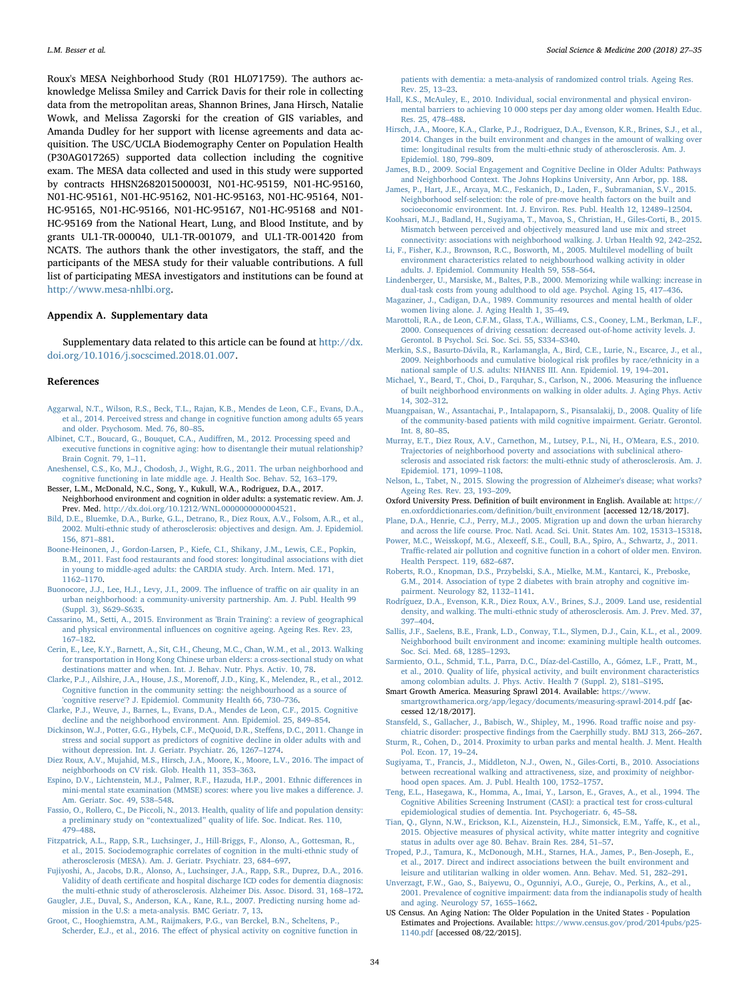Roux's MESA Neighborhood Study (R01 HL071759). The authors acknowledge Melissa Smiley and Carrick Davis for their role in collecting data from the metropolitan areas, Shannon Brines, Jana Hirsch, Natalie Wowk, and Melissa Zagorski for the creation of GIS variables, and Amanda Dudley for her support with license agreements and data acquisition. The USC/UCLA Biodemography Center on Population Health (P30AG017265) supported data collection including the cognitive exam. The MESA data collected and used in this study were supported by contracts HHSN268201500003I, N01-HC-95159, N01-HC-95160, N01-HC-95161, N01-HC-95162, N01-HC-95163, N01-HC-95164, N01- HC-95165, N01-HC-95166, N01-HC-95167, N01-HC-95168 and N01- HC-95169 from the National Heart, Lung, and Blood Institute, and by grants UL1-TR-000040, UL1-TR-001079, and UL1-TR-001420 from NCATS. The authors thank the other investigators, the staff, and the participants of the MESA study for their valuable contributions. A full list of participating MESA investigators and institutions can be found at [http://www.mesa-nhlbi.org.](http://www.mesa-nhlbi.org)

## Appendix A. Supplementary data

Supplementary data related to this article can be found at  $\frac{http://dx.}{$  $\frac{http://dx.}{$  $\frac{http://dx.}{$ [doi.org/10.1016/j.socscimed.2018.01.007](http://dx.doi.org/10.1016/j.socscimed.2018.01.007).

## References

- <span id="page-7-15"></span>[Aggarwal, N.T., Wilson, R.S., Beck, T.L., Rajan, K.B., Mendes de Leon, C.F., Evans, D.A.,](http://refhub.elsevier.com/S0277-9536(18)30007-8/sref1) [et al., 2014. Perceived stress and change in cognitive function among adults 65 years](http://refhub.elsevier.com/S0277-9536(18)30007-8/sref1) [and older. Psychosom. Med. 76, 80](http://refhub.elsevier.com/S0277-9536(18)30007-8/sref1)–85.
- <span id="page-7-32"></span>[Albinet, C.T., Boucard, G., Bouquet, C.A., Audi](http://refhub.elsevier.com/S0277-9536(18)30007-8/sref2)ffren, M., 2012. Processing speed and [executive functions in cognitive aging: how to disentangle their mutual relationship?](http://refhub.elsevier.com/S0277-9536(18)30007-8/sref2) [Brain Cognit. 79, 1](http://refhub.elsevier.com/S0277-9536(18)30007-8/sref2)–11.
- <span id="page-7-13"></span>[Aneshensel, C.S., Ko, M.J., Chodosh, J., Wight, R.G., 2011. The urban neighborhood and](http://refhub.elsevier.com/S0277-9536(18)30007-8/sref3) [cognitive functioning in late middle age. J. Health Soc. Behav. 52, 163](http://refhub.elsevier.com/S0277-9536(18)30007-8/sref3)–179.
- <span id="page-7-18"></span>Besser, L.M., McDonald, N.C., Song, Y., Kukull, W.A., Rodriguez, D.A., 2017. Neighborhood environment and cognition in older adults: a systematic review. Am. J. Prev. Med. <http://dx.doi.org/10.1212/WNL.0000000000004521>.
- <span id="page-7-22"></span>[Bild, D.E., Bluemke, D.A., Burke, G.L., Detrano, R., Diez Roux, A.V., Folsom, A.R., et al.,](http://refhub.elsevier.com/S0277-9536(18)30007-8/sref5) [2002. Multi-ethnic study of atherosclerosis: objectives and design. Am. J. Epidemiol.](http://refhub.elsevier.com/S0277-9536(18)30007-8/sref5) [156, 871](http://refhub.elsevier.com/S0277-9536(18)30007-8/sref5)–881.
- <span id="page-7-10"></span>[Boone-Heinonen, J., Gordon-Larsen, P., Kiefe, C.I., Shikany, J.M., Lewis, C.E., Popkin,](http://refhub.elsevier.com/S0277-9536(18)30007-8/sref6) [B.M., 2011. Fast food restaurants and food stores: longitudinal associations with diet](http://refhub.elsevier.com/S0277-9536(18)30007-8/sref6) [in young to middle-aged adults: the CARDIA study. Arch. Intern. Med. 171,](http://refhub.elsevier.com/S0277-9536(18)30007-8/sref6) [1162](http://refhub.elsevier.com/S0277-9536(18)30007-8/sref6)–1170.
- <span id="page-7-11"></span>[Buonocore, J.J., Lee, H.J., Levy, J.I., 2009. The in](http://refhub.elsevier.com/S0277-9536(18)30007-8/sref7)fluence of traffic on air quality in an [urban neighborhood: a community-university partnership. Am. J. Publ. Health 99](http://refhub.elsevier.com/S0277-9536(18)30007-8/sref7) [\(Suppl. 3\), S629](http://refhub.elsevier.com/S0277-9536(18)30007-8/sref7)–S635.
- <span id="page-7-8"></span>[Cassarino, M., Setti, A., 2015. Environment as 'Brain Training': a review of geographical](http://refhub.elsevier.com/S0277-9536(18)30007-8/sref8) and physical environmental infl[uences on cognitive ageing. Ageing Res. Rev. 23,](http://refhub.elsevier.com/S0277-9536(18)30007-8/sref8) 167–[182](http://refhub.elsevier.com/S0277-9536(18)30007-8/sref8).
- <span id="page-7-21"></span>[Cerin, E., Lee, K.Y., Barnett, A., Sit, C.H., Cheung, M.C., Chan, W.M., et al., 2013. Walking](http://refhub.elsevier.com/S0277-9536(18)30007-8/sref9) [for transportation in Hong Kong Chinese urban elders: a cross-sectional study on what](http://refhub.elsevier.com/S0277-9536(18)30007-8/sref9) [destinations matter and when. Int. J. Behav. Nutr. Phys. Activ. 10, 78](http://refhub.elsevier.com/S0277-9536(18)30007-8/sref9).
- <span id="page-7-6"></span>[Clarke, P.J., Ailshire, J.A., House, J.S., Moreno](http://refhub.elsevier.com/S0277-9536(18)30007-8/sref10)ff, J.D., King, K., Melendez, R., et al., 2012. [Cognitive function in the community setting: the neighbourhood as a source of](http://refhub.elsevier.com/S0277-9536(18)30007-8/sref10) ['cognitive reserve'? J. Epidemiol. Community Health 66, 730](http://refhub.elsevier.com/S0277-9536(18)30007-8/sref10)–736.
- <span id="page-7-28"></span>[Clarke, P.J., Weuve, J., Barnes, L., Evans, D.A., Mendes de Leon, C.F., 2015. Cognitive](http://refhub.elsevier.com/S0277-9536(18)30007-8/sref11) [decline and the neighborhood environment. Ann. Epidemiol. 25, 849](http://refhub.elsevier.com/S0277-9536(18)30007-8/sref11)–854.
- <span id="page-7-16"></span>[Dickinson, W.J., Potter, G.G., Hybels, C.F., McQuoid, D.R., Ste](http://refhub.elsevier.com/S0277-9536(18)30007-8/sref13)ffens, D.C., 2011. Change in [stress and social support as predictors of cognitive decline in older adults with and](http://refhub.elsevier.com/S0277-9536(18)30007-8/sref13) [without depression. Int. J. Geriatr. Psychiatr. 26, 1267](http://refhub.elsevier.com/S0277-9536(18)30007-8/sref13)–1274.
- <span id="page-7-26"></span>[Diez Roux, A.V., Mujahid, M.S., Hirsch, J.A., Moore, K., Moore, L.V., 2016. The impact of](http://refhub.elsevier.com/S0277-9536(18)30007-8/sref14) [neighborhoods on CV risk. Glob. Health 11, 353](http://refhub.elsevier.com/S0277-9536(18)30007-8/sref14)–363.
- <span id="page-7-30"></span>[Espino, D.V., Lichtenstein, M.J., Palmer, R.F., Hazuda, H.P., 2001. Ethnic di](http://refhub.elsevier.com/S0277-9536(18)30007-8/sref15)fferences in [mini-mental state examination \(MMSE\) scores: where you live makes a di](http://refhub.elsevier.com/S0277-9536(18)30007-8/sref15)fference. J. [Am. Geriatr. Soc. 49, 538](http://refhub.elsevier.com/S0277-9536(18)30007-8/sref15)–548.
- <span id="page-7-14"></span>[Fassio, O., Rollero, C., De Piccoli, N., 2013. Health, quality of life and population density:](http://refhub.elsevier.com/S0277-9536(18)30007-8/sref16) a preliminary study on "contextualized" [quality of life. Soc. Indicat. Res. 110,](http://refhub.elsevier.com/S0277-9536(18)30007-8/sref16) 479–[488](http://refhub.elsevier.com/S0277-9536(18)30007-8/sref16).
- <span id="page-7-24"></span>Fitzpatrick, [A.L., Rapp, S.R., Luchsinger, J., Hill-Briggs, F., Alonso, A., Gottesman, R.,](http://refhub.elsevier.com/S0277-9536(18)30007-8/sref17) [et al., 2015. Sociodemographic correlates of cognition in the multi-ethnic study of](http://refhub.elsevier.com/S0277-9536(18)30007-8/sref17) [atherosclerosis \(MESA\). Am. J. Geriatr. Psychiatr. 23, 684](http://refhub.elsevier.com/S0277-9536(18)30007-8/sref17)–697.
- <span id="page-7-23"></span>[Fujiyoshi, A., Jacobs, D.R., Alonso, A., Luchsinger, J.A., Rapp, S.R., Duprez, D.A., 2016.](http://refhub.elsevier.com/S0277-9536(18)30007-8/sref18) Validity of death certifi[cate and hospital discharge ICD codes for dementia diagnosis:](http://refhub.elsevier.com/S0277-9536(18)30007-8/sref18) [the multi-ethnic study of atherosclerosis. Alzheimer Dis. Assoc. Disord. 31, 168](http://refhub.elsevier.com/S0277-9536(18)30007-8/sref18)–172.

<span id="page-7-2"></span>[Gaugler, J.E., Duval, S., Anderson, K.A., Kane, R.L., 2007. Predicting nursing home ad](http://refhub.elsevier.com/S0277-9536(18)30007-8/sref19)[mission in the U.S: a meta-analysis. BMC Geriatr. 7, 13](http://refhub.elsevier.com/S0277-9536(18)30007-8/sref19).

[Groot, C., Hooghiemstra, A.M., Raijmakers, P.G., van Berckel, B.N., Scheltens, P.,](http://refhub.elsevier.com/S0277-9536(18)30007-8/sref20) Scherder, E.J., et al., 2016. The eff[ect of physical activity on cognitive function in](http://refhub.elsevier.com/S0277-9536(18)30007-8/sref20) [patients with dementia: a meta-analysis of randomized control trials. Ageing Res.](http://refhub.elsevier.com/S0277-9536(18)30007-8/sref20) [Rev. 25, 13](http://refhub.elsevier.com/S0277-9536(18)30007-8/sref20)–23.

- [Hall, K.S., McAuley, E., 2010. Individual, social environmental and physical environ](http://refhub.elsevier.com/S0277-9536(18)30007-8/sref21)[mental barriers to achieving 10 000 steps per day among older women. Health Educ.](http://refhub.elsevier.com/S0277-9536(18)30007-8/sref21) [Res. 25, 478](http://refhub.elsevier.com/S0277-9536(18)30007-8/sref21)–488.
- <span id="page-7-35"></span>[Hirsch, J.A., Moore, K.A., Clarke, P.J., Rodriguez, D.A., Evenson, K.R., Brines, S.J., et al.,](http://refhub.elsevier.com/S0277-9536(18)30007-8/sref22) [2014. Changes in the built environment and changes in the amount of walking over](http://refhub.elsevier.com/S0277-9536(18)30007-8/sref22) [time: longitudinal results from the multi-ethnic study of atherosclerosis. Am. J.](http://refhub.elsevier.com/S0277-9536(18)30007-8/sref22) [Epidemiol. 180, 799](http://refhub.elsevier.com/S0277-9536(18)30007-8/sref22)–809.
- [James, B.D., 2009. Social Engagement and Cognitive Decline in Older Adults: Pathways](http://refhub.elsevier.com/S0277-9536(18)30007-8/sref23) [and Neighborhood Context. The Johns Hopkins University, Ann Arbor, pp. 188.](http://refhub.elsevier.com/S0277-9536(18)30007-8/sref23)
- <span id="page-7-34"></span>[James, P., Hart, J.E., Arcaya, M.C., Feskanich, D., Laden, F., Subramanian, S.V., 2015.](http://refhub.elsevier.com/S0277-9536(18)30007-8/sref24) [Neighborhood self-selection: the role of pre-move health factors on the built and](http://refhub.elsevier.com/S0277-9536(18)30007-8/sref24) [socioeconomic environment. Int. J. Environ. Res. Publ. Health 12, 12489](http://refhub.elsevier.com/S0277-9536(18)30007-8/sref24)–12504.
- <span id="page-7-5"></span>[Koohsari, M.J., Badland, H., Sugiyama, T., Mavoa, S., Christian, H., Giles-Corti, B., 2015.](http://refhub.elsevier.com/S0277-9536(18)30007-8/sref25) [Mismatch between perceived and objectively measured land use mix and street](http://refhub.elsevier.com/S0277-9536(18)30007-8/sref25) [connectivity: associations with neighborhood walking. J. Urban Health 92, 242](http://refhub.elsevier.com/S0277-9536(18)30007-8/sref25)–252.
- [Li, F., Fisher, K.J., Brownson, R.C., Bosworth, M., 2005. Multilevel modelling of built](http://refhub.elsevier.com/S0277-9536(18)30007-8/sref26) [environment characteristics related to neighbourhood walking activity in older](http://refhub.elsevier.com/S0277-9536(18)30007-8/sref26) [adults. J. Epidemiol. Community Health 59, 558](http://refhub.elsevier.com/S0277-9536(18)30007-8/sref26)–564.
- <span id="page-7-17"></span>[Lindenberger, U., Marsiske, M., Baltes, P.B., 2000. Memorizing while walking: increase in](http://refhub.elsevier.com/S0277-9536(18)30007-8/sref27) [dual-task costs from young adulthood to old age. Psychol. Aging 15, 417](http://refhub.elsevier.com/S0277-9536(18)30007-8/sref27)–436.
- <span id="page-7-29"></span>[Magaziner, J., Cadigan, D.A., 1989. Community resources and mental health of older](http://refhub.elsevier.com/S0277-9536(18)30007-8/sref28) [women living alone. J. Aging Health 1, 35](http://refhub.elsevier.com/S0277-9536(18)30007-8/sref28)–49.
- <span id="page-7-7"></span>[Marottoli, R.A., de Leon, C.F.M., Glass, T.A., Williams, C.S., Cooney, L.M., Berkman, L.F.,](http://refhub.elsevier.com/S0277-9536(18)30007-8/sref29) [2000. Consequences of driving cessation: decreased out-of-home activity levels. J.](http://refhub.elsevier.com/S0277-9536(18)30007-8/sref29) [Gerontol. B Psychol. Sci. Soc. Sci. 55, S334](http://refhub.elsevier.com/S0277-9536(18)30007-8/sref29)–S340.
- <span id="page-7-20"></span>[Merkin, S.S., Basurto-Dávila, R., Karlamangla, A., Bird, C.E., Lurie, N., Escarce, J., et al.,](http://refhub.elsevier.com/S0277-9536(18)30007-8/sref31) [2009. Neighborhoods and cumulative biological risk pro](http://refhub.elsevier.com/S0277-9536(18)30007-8/sref31)files by race/ethnicity in a [national sample of U.S. adults: NHANES III. Ann. Epidemiol. 19, 194](http://refhub.elsevier.com/S0277-9536(18)30007-8/sref31)–201.
- [Michael, Y., Beard, T., Choi, D., Farquhar, S., Carlson, N., 2006. Measuring the in](http://refhub.elsevier.com/S0277-9536(18)30007-8/sref32)fluence [of built neighborhood environments on walking in older adults. J. Aging Phys. Activ](http://refhub.elsevier.com/S0277-9536(18)30007-8/sref32) [14, 302](http://refhub.elsevier.com/S0277-9536(18)30007-8/sref32)–312.
- <span id="page-7-1"></span>[Muangpaisan, W., Assantachai, P., Intalapaporn, S., Pisansalakij, D., 2008. Quality of life](http://refhub.elsevier.com/S0277-9536(18)30007-8/sref33) [of the community-based patients with mild cognitive impairment. Geriatr. Gerontol.](http://refhub.elsevier.com/S0277-9536(18)30007-8/sref33) [Int. 8, 80](http://refhub.elsevier.com/S0277-9536(18)30007-8/sref33)–85.
- <span id="page-7-36"></span>[Murray, E.T., Diez Roux, A.V., Carnethon, M., Lutsey, P.L., Ni, H., O'Meara, E.S., 2010.](http://refhub.elsevier.com/S0277-9536(18)30007-8/sref34) [Trajectories of neighborhood poverty and associations with subclinical athero](http://refhub.elsevier.com/S0277-9536(18)30007-8/sref34)[sclerosis and associated risk factors: the multi-ethnic study of atherosclerosis. Am. J.](http://refhub.elsevier.com/S0277-9536(18)30007-8/sref34) [Epidemiol. 171, 1099](http://refhub.elsevier.com/S0277-9536(18)30007-8/sref34)–1108.
- <span id="page-7-4"></span>Nelson, [L., Tabet, N., 2015. Slowing the progression of Alzheimer's disease; what works?](http://refhub.elsevier.com/S0277-9536(18)30007-8/sref35) [Ageing Res. Rev. 23, 193](http://refhub.elsevier.com/S0277-9536(18)30007-8/sref35)–209.

<span id="page-7-9"></span>Oxford University Press. Definition of built environment in English. Available at: [https://](https://en.oxforddictionaries.com/definition/built_environment) [en.oxforddictionaries.com/de](https://en.oxforddictionaries.com/definition/built_environment)finition/built\_environment [accessed 12/18/2017].

<span id="page-7-37"></span>[Plane, D.A., Henrie, C.J., Perry, M.J., 2005. Migration up and down the urban hierarchy](http://refhub.elsevier.com/S0277-9536(18)30007-8/sref37) [and across the life course. Proc. Natl. Acad. Sci. Unit. States Am. 102, 15313](http://refhub.elsevier.com/S0277-9536(18)30007-8/sref37)–15318.

- <span id="page-7-12"></span>Power, M.C., Weisskopf, M.G., Alexeeff[, S.E., Coull, B.A., Spiro, A., Schwartz, J., 2011.](http://refhub.elsevier.com/S0277-9536(18)30007-8/sref38) Traffi[c-related air pollution and cognitive function in a cohort of older men. Environ.](http://refhub.elsevier.com/S0277-9536(18)30007-8/sref38) [Health Perspect. 119, 682](http://refhub.elsevier.com/S0277-9536(18)30007-8/sref38)–687.
- <span id="page-7-31"></span>[Roberts, R.O., Knopman, D.S., Przybelski, S.A., Mielke, M.M., Kantarci, K., Preboske,](http://refhub.elsevier.com/S0277-9536(18)30007-8/sref58) [G.M., 2014. Association of type 2 diabetes with brain atrophy and cognitive im-](http://refhub.elsevier.com/S0277-9536(18)30007-8/sref58)[pairment. Neurology 82, 1132](http://refhub.elsevier.com/S0277-9536(18)30007-8/sref58)–1141.
- <span id="page-7-27"></span>[Rodríguez, D.A., Evenson, K.R., Diez Roux, A.V., Brines, S.J., 2009. Land use, residential](http://refhub.elsevier.com/S0277-9536(18)30007-8/sref39) [density, and walking. The multi-ethnic study of atherosclerosis. Am. J. Prev. Med. 37,](http://refhub.elsevier.com/S0277-9536(18)30007-8/sref39) 397–[404](http://refhub.elsevier.com/S0277-9536(18)30007-8/sref39).
- [Sallis, J.F., Saelens, B.E., Frank, L.D., Conway, T.L., Slymen, D.J., Cain, K.L., et al., 2009.](http://refhub.elsevier.com/S0277-9536(18)30007-8/sref41) [Neighborhood built environment and income: examining multiple health outcomes.](http://refhub.elsevier.com/S0277-9536(18)30007-8/sref41) [Soc. Sci. Med. 68, 1285](http://refhub.elsevier.com/S0277-9536(18)30007-8/sref41)–1293.

[Sarmiento, O.L., Schmid, T.L., Parra, D.C., Díaz-del-Castillo, A., Gómez, L.F., Pratt, M.,](http://refhub.elsevier.com/S0277-9536(18)30007-8/sref42) [et al., 2010. Quality of life, physical activity, and built environment characteristics](http://refhub.elsevier.com/S0277-9536(18)30007-8/sref42) [among colombian adults. J. Phys. Activ. Health 7 \(Suppl. 2\), S181](http://refhub.elsevier.com/S0277-9536(18)30007-8/sref42)–S195.

<span id="page-7-19"></span>Smart Growth America. Measuring Sprawl 2014. Available: [https://www.](https://www.smartgrowthamerica.org/app/legacy/documents/measuring-sprawl-2014.pdf)

[smartgrowthamerica.org/app/legacy/documents/measuring-sprawl-2014.pdf](https://www.smartgrowthamerica.org/app/legacy/documents/measuring-sprawl-2014.pdf) [accessed 12/18/2017].

[Stansfeld, S., Gallacher, J., Babisch, W., Shipley, M., 1996. Road tra](http://refhub.elsevier.com/S0277-9536(18)30007-8/sref44)ffic noise and psychiatric disorder: prospective fi[ndings from the Caerphilly study. BMJ 313, 266](http://refhub.elsevier.com/S0277-9536(18)30007-8/sref44)–267.

- <span id="page-7-39"></span>[Sturm, R., Cohen, D., 2014. Proximity to urban parks and mental health. J. Ment. Health](http://refhub.elsevier.com/S0277-9536(18)30007-8/sref45) [Pol. Econ. 17, 19](http://refhub.elsevier.com/S0277-9536(18)30007-8/sref45)–24.
- <span id="page-7-38"></span>[Sugiyama, T., Francis, J., Middleton, N.J., Owen, N., Giles-Corti, B., 2010. Associations](http://refhub.elsevier.com/S0277-9536(18)30007-8/sref46) [between recreational walking and attractiveness, size, and proximity of neighbor](http://refhub.elsevier.com/S0277-9536(18)30007-8/sref46)[hood open spaces. Am. J. Publ. Health 100, 1752](http://refhub.elsevier.com/S0277-9536(18)30007-8/sref46)–1757.
- <span id="page-7-25"></span>[Teng, E.L., Hasegawa, K., Homma, A., Imai, Y., Larson, E., Graves, A., et al., 1994. The](http://refhub.elsevier.com/S0277-9536(18)30007-8/sref47) [Cognitive Abilities Screening Instrument \(CASI\): a practical test for cross-cultural](http://refhub.elsevier.com/S0277-9536(18)30007-8/sref47) [epidemiological studies of dementia. Int. Psychogeriatr. 6, 45](http://refhub.elsevier.com/S0277-9536(18)30007-8/sref47)–58.
- <span id="page-7-33"></span>[Tian, Q., Glynn, N.W., Erickson, K.I., Aizenstein, H.J., Simonsick, E.M., Ya](http://refhub.elsevier.com/S0277-9536(18)30007-8/sref48)ffe, K., et al., [2015. Objective measures of physical activity, white matter integrity and cognitive](http://refhub.elsevier.com/S0277-9536(18)30007-8/sref48) [status in adults over age 80. Behav. Brain Res. 284, 51](http://refhub.elsevier.com/S0277-9536(18)30007-8/sref48)–57.
- [Troped, P.J., Tamura, K., McDonough, M.H., Starnes, H.A., James, P., Ben-Joseph, E.,](http://refhub.elsevier.com/S0277-9536(18)30007-8/sref49) [et al., 2017. Direct and indirect associations between the built environment and](http://refhub.elsevier.com/S0277-9536(18)30007-8/sref49) [leisure and utilitarian walking in older women. Ann. Behav. Med. 51, 282](http://refhub.elsevier.com/S0277-9536(18)30007-8/sref49)–291.
- <span id="page-7-0"></span>[Unverzagt, F.W., Gao, S., Baiyewu, O., Ogunniyi, A.O., Gureje, O., Perkins, A., et al.,](http://refhub.elsevier.com/S0277-9536(18)30007-8/sref50) [2001. Prevalence of cognitive impairment: data from the indianapolis study of health](http://refhub.elsevier.com/S0277-9536(18)30007-8/sref50) and [aging. Neurology 57, 1655](http://refhub.elsevier.com/S0277-9536(18)30007-8/sref50)–1662.
- <span id="page-7-3"></span>US Census. An Aging Nation: The Older Population in the United States - Population Estimates and Projections. Available: [https://www.census.gov/prod/2014pubs/p25-](https://www.census.gov/prod/2014pubs/p25-1140.pdf) [1140.pdf](https://www.census.gov/prod/2014pubs/p25-1140.pdf) [accessed 08/22/2015].